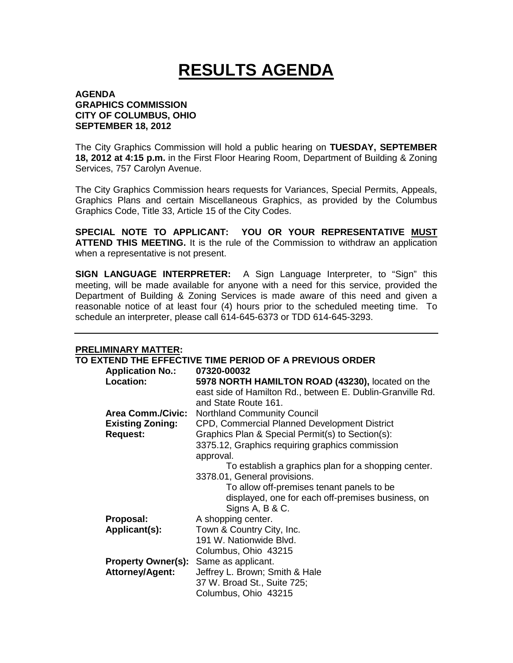## **RESULTS AGENDA**

## **AGENDA GRAPHICS COMMISSION CITY OF COLUMBUS, OHIO SEPTEMBER 18, 2012**

The City Graphics Commission will hold a public hearing on **TUESDAY, SEPTEMBER 18, 2012 at 4:15 p.m.** in the First Floor Hearing Room, Department of Building & Zoning Services, 757 Carolyn Avenue.

The City Graphics Commission hears requests for Variances, Special Permits, Appeals, Graphics Plans and certain Miscellaneous Graphics, as provided by the Columbus Graphics Code, Title 33, Article 15 of the City Codes.

**SPECIAL NOTE TO APPLICANT: YOU OR YOUR REPRESENTATIVE MUST ATTEND THIS MEETING.** It is the rule of the Commission to withdraw an application when a representative is not present.

**SIGN LANGUAGE INTERPRETER:** A Sign Language Interpreter, to "Sign" this meeting, will be made available for anyone with a need for this service, provided the Department of Building & Zoning Services is made aware of this need and given a reasonable notice of at least four (4) hours prior to the scheduled meeting time. To schedule an interpreter, please call 614-645-6373 or TDD 614-645-3293.

## **PRELIMINARY MATTER:**

|                           | TO EXTEND THE EFFECTIVE TIME PERIOD OF A PREVIOUS ORDER    |
|---------------------------|------------------------------------------------------------|
| <b>Application No.:</b>   | 07320-00032                                                |
| Location:                 | 5978 NORTH HAMILTON ROAD (43230), located on the           |
|                           | east side of Hamilton Rd., between E. Dublin-Granville Rd. |
|                           | and State Route 161.                                       |
| <b>Area Comm./Civic:</b>  | <b>Northland Community Council</b>                         |
| <b>Existing Zoning:</b>   | CPD, Commercial Planned Development District               |
| <b>Request:</b>           | Graphics Plan & Special Permit(s) to Section(s):           |
|                           | 3375.12, Graphics requiring graphics commission            |
|                           | approval.                                                  |
|                           | To establish a graphics plan for a shopping center.        |
|                           | 3378.01, General provisions.                               |
|                           | To allow off-premises tenant panels to be.                 |
|                           | displayed, one for each off-premises business, on          |
|                           | Signs A, B & C.                                            |
| Proposal:                 | A shopping center.                                         |
| Applicant(s):             | Town & Country City, Inc.                                  |
|                           | 191 W. Nationwide Blvd.                                    |
|                           | Columbus, Ohio 43215                                       |
| <b>Property Owner(s):</b> | Same as applicant.                                         |
| <b>Attorney/Agent:</b>    | Jeffrey L. Brown; Smith & Hale                             |
|                           | 37 W. Broad St., Suite 725;                                |
|                           | Columbus, Ohio 43215                                       |
|                           |                                                            |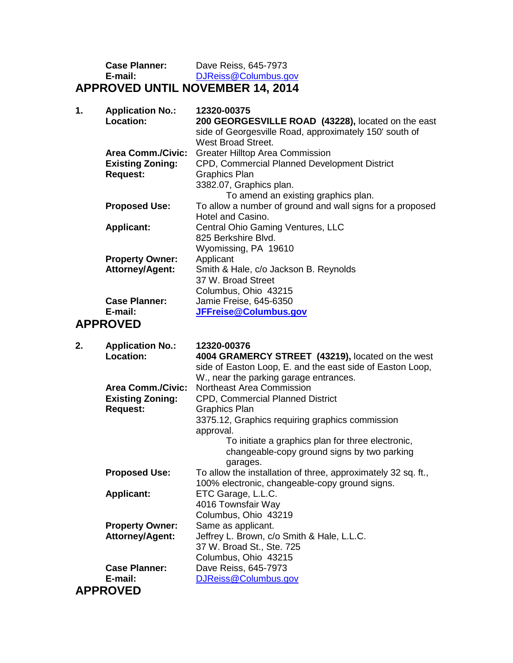| <b>Case Planner:</b> | Dave Reiss, 645-7973                    |
|----------------------|-----------------------------------------|
| E-mail:              | DJReiss@Columbus.gov                    |
|                      | <b>APPROVED UNTIL NOVEMBER 14, 2014</b> |

| 1. | <b>Application No.:</b><br>Location: | 12320-00375<br>200 GEORGESVILLE ROAD (43228), located on the east<br>side of Georgesville Road, approximately 150' south of<br>West Broad Street. |
|----|--------------------------------------|---------------------------------------------------------------------------------------------------------------------------------------------------|
|    | <b>Area Comm./Civic:</b>             | <b>Greater Hilltop Area Commission</b>                                                                                                            |
|    | <b>Existing Zoning:</b>              | CPD, Commercial Planned Development District                                                                                                      |
|    | <b>Request:</b>                      | Graphics Plan                                                                                                                                     |
|    |                                      | 3382.07, Graphics plan.                                                                                                                           |
|    |                                      | To amend an existing graphics plan.                                                                                                               |
|    | <b>Proposed Use:</b>                 | To allow a number of ground and wall signs for a proposed                                                                                         |
|    |                                      | Hotel and Casino.                                                                                                                                 |
|    | <b>Applicant:</b>                    | Central Ohio Gaming Ventures, LLC                                                                                                                 |
|    |                                      | 825 Berkshire Blvd.                                                                                                                               |
|    |                                      | Wyomissing, PA 19610                                                                                                                              |
|    | <b>Property Owner:</b>               | Applicant                                                                                                                                         |
|    | <b>Attorney/Agent:</b>               | Smith & Hale, c/o Jackson B. Reynolds                                                                                                             |
|    |                                      | 37 W. Broad Street                                                                                                                                |
|    |                                      | Columbus, Ohio 43215                                                                                                                              |
|    | <b>Case Planner:</b>                 | Jamie Freise, 645-6350                                                                                                                            |
|    | E-mail:                              | JFFreise@Columbus.gov                                                                                                                             |
|    | , DDDAVER                            |                                                                                                                                                   |

## **APPROVED**

| 2. | <b>Application No.:</b>  | 12320-00376                                                   |
|----|--------------------------|---------------------------------------------------------------|
|    | <b>Location:</b>         | 4004 GRAMERCY STREET (43219), located on the west             |
|    |                          | side of Easton Loop, E. and the east side of Easton Loop,     |
|    |                          | W., near the parking garage entrances.                        |
|    | <b>Area Comm./Civic:</b> | Northeast Area Commission                                     |
|    | <b>Existing Zoning:</b>  | <b>CPD, Commercial Planned District</b>                       |
|    | <b>Request:</b>          | Graphics Plan                                                 |
|    |                          | 3375.12, Graphics requiring graphics commission               |
|    |                          | approval.                                                     |
|    |                          | To initiate a graphics plan for three electronic,             |
|    |                          | changeable-copy ground signs by two parking                   |
|    |                          | garages.                                                      |
|    | <b>Proposed Use:</b>     | To allow the installation of three, approximately 32 sq. ft., |
|    |                          | 100% electronic, changeable-copy ground signs.                |
|    | <b>Applicant:</b>        | ETC Garage, L.L.C.                                            |
|    |                          | 4016 Townsfair Way                                            |
|    |                          | Columbus, Ohio 43219                                          |
|    | <b>Property Owner:</b>   | Same as applicant.                                            |
|    | <b>Attorney/Agent:</b>   | Jeffrey L. Brown, c/o Smith & Hale, L.L.C.                    |
|    |                          | 37 W. Broad St., Ste. 725                                     |
|    |                          | Columbus, Ohio 43215                                          |
|    | <b>Case Planner:</b>     | Dave Reiss, 645-7973                                          |
|    | E-mail:                  | DJReiss@Columbus.gov                                          |
|    | <b>APPROVED</b>          |                                                               |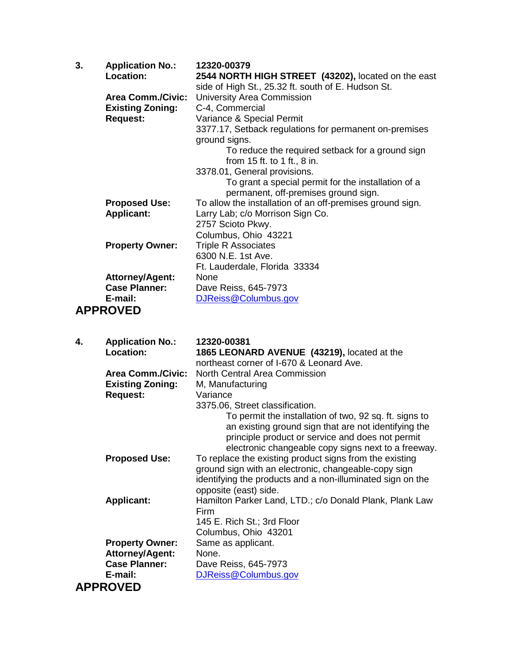| 3. | <b>Application No.:</b>  | 12320-00379                                               |
|----|--------------------------|-----------------------------------------------------------|
|    | <b>Location:</b>         | 2544 NORTH HIGH STREET (43202), located on the east       |
|    |                          | side of High St., 25.32 ft. south of E. Hudson St.        |
|    | <b>Area Comm./Civic:</b> | University Area Commission                                |
|    | <b>Existing Zoning:</b>  | C-4, Commercial                                           |
|    | <b>Request:</b>          | Variance & Special Permit                                 |
|    |                          | 3377.17, Setback regulations for permanent on-premises    |
|    |                          | ground signs.                                             |
|    |                          | To reduce the required setback for a ground sign          |
|    |                          | from 15 ft. to 1 ft., 8 in.                               |
|    |                          | 3378.01, General provisions.                              |
|    |                          | To grant a special permit for the installation of a       |
|    |                          | permanent, off-premises ground sign.                      |
|    | <b>Proposed Use:</b>     | To allow the installation of an off-premises ground sign. |
|    | <b>Applicant:</b>        | Larry Lab; c/o Morrison Sign Co.                          |
|    |                          | 2757 Scioto Pkwy.                                         |
|    |                          | Columbus, Ohio 43221                                      |
|    | <b>Property Owner:</b>   | <b>Triple R Associates</b>                                |
|    |                          | 6300 N.E. 1st Ave.                                        |
|    |                          | Ft. Lauderdale, Florida 33334                             |
|    | <b>Attorney/Agent:</b>   | None                                                      |
|    | <b>Case Planner:</b>     | Dave Reiss, 645-7973                                      |
|    | E-mail:                  | DJReiss@Columbus.gov                                      |
|    | <b>APPROVED</b>          |                                                           |

| <b>Application No.:</b><br>4. | 12320-00381                                                |
|-------------------------------|------------------------------------------------------------|
| Location:                     | 1865 LEONARD AVENUE (43219), located at the                |
|                               | northeast corner of I-670 & Leonard Ave.                   |
| <b>Area Comm./Civic:</b>      | North Central Area Commission                              |
| <b>Existing Zoning:</b>       | M, Manufacturing                                           |
| <b>Request:</b>               | Variance                                                   |
|                               | 3375.06, Street classification.                            |
|                               | To permit the installation of two, 92 sq. ft. signs to     |
|                               | an existing ground sign that are not identifying the       |
|                               | principle product or service and does not permit           |
|                               | electronic changeable copy signs next to a freeway.        |
| <b>Proposed Use:</b>          | To replace the existing product signs from the existing    |
|                               | ground sign with an electronic, changeable-copy sign       |
|                               | identifying the products and a non-illuminated sign on the |
|                               | opposite (east) side.                                      |
| <b>Applicant:</b>             | Hamilton Parker Land, LTD.; c/o Donald Plank, Plank Law    |
|                               | Firm                                                       |
|                               | 145 E. Rich St.; 3rd Floor                                 |
|                               | Columbus, Ohio 43201                                       |
| <b>Property Owner:</b>        | Same as applicant.                                         |
| <b>Attorney/Agent:</b>        | None.                                                      |
| <b>Case Planner:</b>          | Dave Reiss, 645-7973                                       |
| E-mail:                       | DJReiss@Columbus.gov                                       |
| <b>APPROVED</b>               |                                                            |